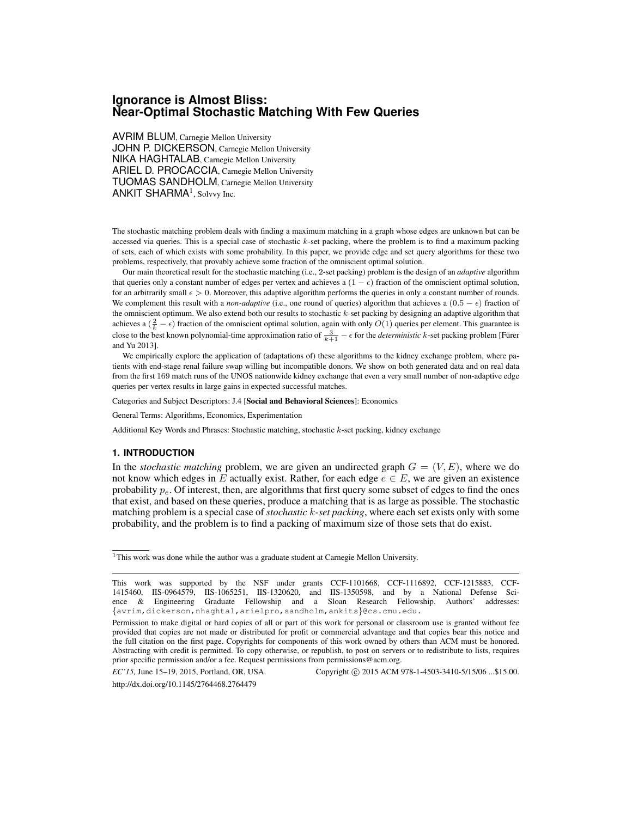# **Ignorance is Almost Bliss: Near-Optimal Stochastic Matching With Few Queries**

AVRIM BLUM, Carnegie Mellon University JOHN P. DICKERSON, Carnegie Mellon University NIKA HAGHTALAB, Carnegie Mellon University ARIEL D. PROCACCIA, Carnegie Mellon University TUOMAS SANDHOLM, Carnegie Mellon University ANKIT SHARMA<sup>1</sup>, Solvvy Inc.

The stochastic matching problem deals with finding a maximum matching in a graph whose edges are unknown but can be accessed via queries. This is a special case of stochastic k-set packing, where the problem is to find a maximum packing of sets, each of which exists with some probability. In this paper, we provide edge and set query algorithms for these two problems, respectively, that provably achieve some fraction of the omniscient optimal solution.

Our main theoretical result for the stochastic matching (i.e., 2-set packing) problem is the design of an *adaptive* algorithm that queries only a constant number of edges per vertex and achieves a  $(1 - \epsilon)$  fraction of the omniscient optimal solution, for an arbitrarily small  $\epsilon > 0$ . Moreover, this adaptive algorithm performs the queries in only a constant number of rounds. We complement this result with a *non-adaptive* (i.e., one round of queries) algorithm that achieves a  $(0.5 - \epsilon)$  fraction of the omniscient optimum. We also extend both our results to stochastic k-set packing by designing an adaptive algorithm that achieves a  $(\frac{2}{k} - \epsilon)$  fraction of the omniscient optimal solution, again with only  $O(1)$  queries per element. This guarantee is close to the best known polynomial-time approximation ratio of  $\frac{3}{k+1} - \epsilon$  for the *deterministic* k-set packing problem [Fürer [and Yu](#page-17-0) [2013\]](#page-17-0).

We empirically explore the application of (adaptations of) these algorithms to the kidney exchange problem, where patients with end-stage renal failure swap willing but incompatible donors. We show on both generated data and on real data from the first 169 match runs of the UNOS nationwide kidney exchange that even a very small number of non-adaptive edge queries per vertex results in large gains in expected successful matches.

Categories and Subject Descriptors: J.4 [Social and Behavioral Sciences]: Economics

General Terms: Algorithms, Economics, Experimentation

Additional Key Words and Phrases: Stochastic matching, stochastic k-set packing, kidney exchange

#### <span id="page-0-0"></span>**1. INTRODUCTION**

In the *stochastic matching* problem, we are given an undirected graph  $G = (V, E)$ , where we do not know which edges in E actually exist. Rather, for each edge  $e \in E$ , we are given an existence probability  $p_e$ . Of interest, then, are algorithms that first query some subset of edges to find the ones that exist, and based on these queries, produce a matching that is as large as possible. The stochastic matching problem is a special case of *stochastic* k*-set packing*, where each set exists only with some probability, and the problem is to find a packing of maximum size of those sets that do exist.

*EC'15*, June 15–19, 2015, Portland, OR, USA. Copyright © 2015 ACM 978-1-4503-3410-5/15/06 ...\$15.00.

http://dx.doi.org/10.1145/2764468.2764479

<sup>&</sup>lt;sup>1</sup>This work was done while the author was a graduate student at Carnegie Mellon University.

This work was supported by the NSF under grants CCF-1101668, CCF-1116892, CCF-1215883, CCF-1415460, IIS-0964579, IIS-1065251, IIS-1320620, and IIS-1350598, and by a National Defense Science & Engineering Graduate Fellowship and a Sloan Research Fellowship. Authors' addresses: {avrim,dickerson,nhaghtal,arielpro,sandholm,ankits}@cs.cmu.edu.

Permission to make digital or hard copies of all or part of this work for personal or classroom use is granted without fee provided that copies are not made or distributed for profit or commercial advantage and that copies bear this notice and the full citation on the first page. Copyrights for components of this work owned by others than ACM must be honored. Abstracting with credit is permitted. To copy otherwise, or republish, to post on servers or to redistribute to lists, requires prior specific permission and/or a fee. Request permissions from permissions@acm.org.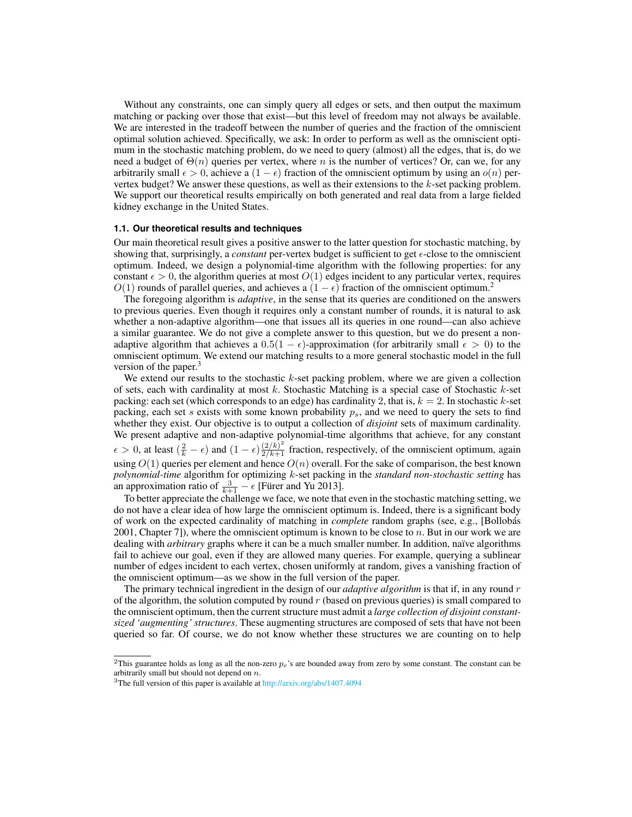Without any constraints, one can simply query all edges or sets, and then output the maximum matching or packing over those that exist—but this level of freedom may not always be available. We are interested in the tradeoff between the number of queries and the fraction of the omniscient optimal solution achieved. Specifically, we ask: In order to perform as well as the omniscient optimum in the stochastic matching problem, do we need to query (almost) all the edges, that is, do we need a budget of  $\Theta(n)$  queries per vertex, where n is the number of vertices? Or, can we, for any arbitrarily small  $\epsilon > 0$ , achieve a  $(1 - \epsilon)$  fraction of the omniscient optimum by using an  $o(n)$  pervertex budget? We answer these questions, as well as their extensions to the k-set packing problem. We support our theoretical results empirically on both generated and real data from a large fielded kidney exchange in the United States.

#### **1.1. Our theoretical results and techniques**

Our main theoretical result gives a positive answer to the latter question for stochastic matching, by showing that, surprisingly, a *constant* per-vertex budget is sufficient to get  $\epsilon$ -close to the omniscient optimum. Indeed, we design a polynomial-time algorithm with the following properties: for any constant  $\epsilon > 0$ , the algorithm queries at most  $O(1)$  edges incident to any particular vertex, requires O(1) rounds of parallel queries, and achieves a  $(1 - \epsilon)$  fraction of the omniscient optimum.<sup>[2](#page-1-0)</sup>

The foregoing algorithm is *adaptive*, in the sense that its queries are conditioned on the answers to previous queries. Even though it requires only a constant number of rounds, it is natural to ask whether a non-adaptive algorithm—one that issues all its queries in one round—can also achieve a similar guarantee. We do not give a complete answer to this question, but we do present a nonadaptive algorithm that achieves a  $0.5(1 - \epsilon)$ -approximation (for arbitrarily small  $\epsilon > 0$ ) to the omniscient optimum. We extend our matching results to a more general stochastic model in the full version of the paper.<sup>[3](#page-1-1)</sup>

We extend our results to the stochastic  $k$ -set packing problem, where we are given a collection of sets, each with cardinality at most  $k$ . Stochastic Matching is a special case of Stochastic  $k$ -set packing: each set (which corresponds to an edge) has cardinality 2, that is,  $k = 2$ . In stochastic k-set packing, each set s exists with some known probability  $p<sub>s</sub>$ , and we need to query the sets to find whether they exist. Our objective is to output a collection of *disjoint* sets of maximum cardinality. We present adaptive and non-adaptive polynomial-time algorithms that achieve, for any constant  $\epsilon > 0$ , at least  $(\frac{2}{k} - \epsilon)$  and  $(1 - \epsilon) \frac{(2/k)^2}{2/k+1}$  fraction, respectively, of the omniscient optimum, again using  $O(1)$  queries per element and hence  $O(n)$  overall. For the sake of comparison, the best known *polynomial-time* algorithm for optimizing k-set packing in the *standard non-stochastic setting* has an approximation ratio of  $\frac{3}{k+1} - \epsilon$  [\[Furer and Yu](#page-17-0) [2013\]](#page-17-0).

To better appreciate the challenge we face, we note that even in the stochastic matching setting, we do not have a clear idea of how large the omniscient optimum is. Indeed, there is a significant body of work on the expected cardinality of matching in *complete* random graphs (see, e.g., [Bollobás [2001,](#page-16-0) Chapter 7]), where the omniscient optimum is known to be close to  $n$ . But in our work we are dealing with *arbitrary* graphs where it can be a much smaller number. In addition, naïve algorithms fail to achieve our goal, even if they are allowed many queries. For example, querying a sublinear number of edges incident to each vertex, chosen uniformly at random, gives a vanishing fraction of the omniscient optimum—as we show in the full version of the paper.

The primary technical ingredient in the design of our *adaptive algorithm* is that if, in any round r of the algorithm, the solution computed by round  $r$  (based on previous queries) is small compared to the omniscient optimum, then the current structure must admit a *large collection of disjoint constantsized 'augmenting' structures*. These augmenting structures are composed of sets that have not been queried so far. Of course, we do not know whether these structures we are counting on to help

<span id="page-1-0"></span><sup>&</sup>lt;sup>2</sup>This guarantee holds as long as all the non-zero  $p_e$ 's are bounded away from zero by some constant. The constant can be arbitrarily small but should not depend on  $n$ .

<span id="page-1-1"></span><sup>&</sup>lt;sup>3</sup>The full version of this paper is available at  $\frac{http://arxiv.org/abs/1407.4094}{http://arxiv.org/abs/1407.4094}$  $\frac{http://arxiv.org/abs/1407.4094}{http://arxiv.org/abs/1407.4094}$  $\frac{http://arxiv.org/abs/1407.4094}{http://arxiv.org/abs/1407.4094}$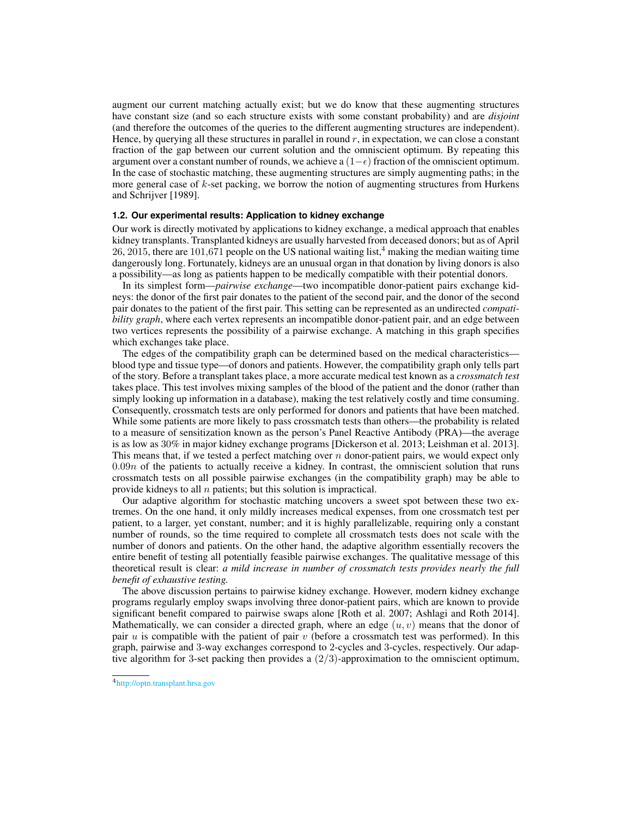augment our current matching actually exist; but we do know that these augmenting structures have constant size (and so each structure exists with some constant probability) and are *disjoint* (and therefore the outcomes of the queries to the different augmenting structures are independent). Hence, by querying all these structures in parallel in round  $r$ , in expectation, we can close a constant fraction of the gap between our current solution and the omniscient optimum. By repeating this argument over a constant number of rounds, we achieve a  $(1-\epsilon)$  fraction of the omniscient optimum. In the case of stochastic matching, these augmenting structures are simply augmenting paths; in the more general case of  $k$ -set packing, we borrow the notion of augmenting structures from [Hurkens](#page-17-1) [and Schrijver](#page-17-1) [\[1989\]](#page-17-1).

# **1.2. Our experimental results: Application to kidney exchange**

Our work is directly motivated by applications to kidney exchange, a medical approach that enables kidney transplants. Transplanted kidneys are usually harvested from deceased donors; but as of April 26, 2015, there are 101,671 people on the US national waiting list,  $4$  making the median waiting time dangerously long. Fortunately, kidneys are an unusual organ in that donation by living donors is also a possibility—as long as patients happen to be medically compatible with their potential donors.

In its simplest form—*pairwise exchange*—two incompatible donor-patient pairs exchange kidneys: the donor of the first pair donates to the patient of the second pair, and the donor of the second pair donates to the patient of the first pair. This setting can be represented as an undirected *compatibility graph*, where each vertex represents an incompatible donor-patient pair, and an edge between two vertices represents the possibility of a pairwise exchange. A matching in this graph specifies which exchanges take place.

The edges of the compatibility graph can be determined based on the medical characteristics blood type and tissue type—of donors and patients. However, the compatibility graph only tells part of the story. Before a transplant takes place, a more accurate medical test known as a *crossmatch test* takes place. This test involves mixing samples of the blood of the patient and the donor (rather than simply looking up information in a database), making the test relatively costly and time consuming. Consequently, crossmatch tests are only performed for donors and patients that have been matched. While some patients are more likely to pass crossmatch tests than others—the probability is related to a measure of sensitization known as the person's Panel Reactive Antibody (PRA)—the average is as low as 30% in major kidney exchange programs [\[Dickerson et al.](#page-17-2) [2013;](#page-17-2) [Leishman et al.](#page-17-3) [2013\]](#page-17-3). This means that, if we tested a perfect matching over  $n$  donor-patient pairs, we would expect only  $0.09n$  of the patients to actually receive a kidney. In contrast, the omniscient solution that runs crossmatch tests on all possible pairwise exchanges (in the compatibility graph) may be able to provide kidneys to all n patients; but this solution is impractical.

Our adaptive algorithm for stochastic matching uncovers a sweet spot between these two extremes. On the one hand, it only mildly increases medical expenses, from one crossmatch test per patient, to a larger, yet constant, number; and it is highly parallelizable, requiring only a constant number of rounds, so the time required to complete all crossmatch tests does not scale with the number of donors and patients. On the other hand, the adaptive algorithm essentially recovers the entire benefit of testing all potentially feasible pairwise exchanges. The qualitative message of this theoretical result is clear: *a mild increase in number of crossmatch tests provides nearly the full benefit of exhaustive testing.*

The above discussion pertains to pairwise kidney exchange. However, modern kidney exchange programs regularly employ swaps involving three donor-patient pairs, which are known to provide significant benefit compared to pairwise swaps alone [\[Roth et al.](#page-17-4) [2007;](#page-17-4) [Ashlagi and Roth](#page-16-1) [2014\]](#page-16-1). Mathematically, we can consider a directed graph, where an edge  $(u, v)$  means that the donor of pair  $u$  is compatible with the patient of pair  $v$  (before a crossmatch test was performed). In this graph, pairwise and 3-way exchanges correspond to 2-cycles and 3-cycles, respectively. Our adaptive algorithm for 3-set packing then provides a  $(2/3)$ -approximation to the omniscient optimum,

<span id="page-2-0"></span><sup>4</sup><http://optn.transplant.hrsa.gov>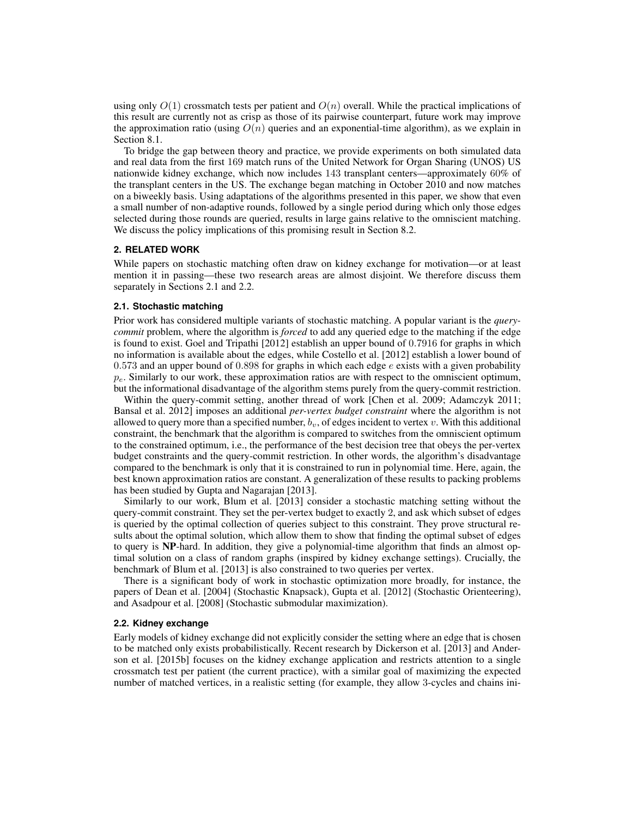using only  $O(1)$  crossmatch tests per patient and  $O(n)$  overall. While the practical implications of this result are currently not as crisp as those of its pairwise counterpart, future work may improve the approximation ratio (using  $O(n)$  queries and an exponential-time algorithm), as we explain in Section [8.1.](#page-15-0)

To bridge the gap between theory and practice, we provide experiments on both simulated data and real data from the first 169 match runs of the United Network for Organ Sharing (UNOS) US nationwide kidney exchange, which now includes 143 transplant centers—approximately 60% of the transplant centers in the US. The exchange began matching in October 2010 and now matches on a biweekly basis. Using adaptations of the algorithms presented in this paper, we show that even a small number of non-adaptive rounds, followed by a single period during which only those edges selected during those rounds are queried, results in large gains relative to the omniscient matching. We discuss the policy implications of this promising result in Section [8.2.](#page-15-1)

# **2. RELATED WORK**

While papers on stochastic matching often draw on kidney exchange for motivation—or at least mention it in passing—these two research areas are almost disjoint. We therefore discuss them separately in Sections [2.1](#page-3-0) and [2.2.](#page-3-1)

## <span id="page-3-0"></span>**2.1. Stochastic matching**

Prior work has considered multiple variants of stochastic matching. A popular variant is the *querycommit* problem, where the algorithm is *forced* to add any queried edge to the matching if the edge is found to exist. [Goel and Tripathi](#page-17-5) [\[2012\]](#page-17-5) establish an upper bound of 0.7916 for graphs in which no information is available about the edges, while [Costello et al.](#page-17-6) [\[2012\]](#page-17-6) establish a lower bound of 0.573 and an upper bound of 0.898 for graphs in which each edge  $e$  exists with a given probability  $p_e$ . Similarly to our work, these approximation ratios are with respect to the omniscient optimum, but the informational disadvantage of the algorithm stems purely from the query-commit restriction.

Within the query-commit setting, another thread of work [\[Chen et al.](#page-16-2) [2009;](#page-16-2) [Adamczyk](#page-16-3) [2011;](#page-16-3) [Bansal et al.](#page-16-4) [2012\]](#page-16-4) imposes an additional *per-vertex budget constraint* where the algorithm is not allowed to query more than a specified number,  $b_v$ , of edges incident to vertex v. With this additional constraint, the benchmark that the algorithm is compared to switches from the omniscient optimum to the constrained optimum, i.e., the performance of the best decision tree that obeys the per-vertex budget constraints and the query-commit restriction. In other words, the algorithm's disadvantage compared to the benchmark is only that it is constrained to run in polynomial time. Here, again, the best known approximation ratios are constant. A generalization of these results to packing problems has been studied by [Gupta and Nagarajan](#page-17-7) [\[2013\]](#page-17-7).

Similarly to our work, [Blum et al.](#page-16-5) [\[2013\]](#page-16-5) consider a stochastic matching setting without the query-commit constraint. They set the per-vertex budget to exactly 2, and ask which subset of edges is queried by the optimal collection of queries subject to this constraint. They prove structural results about the optimal solution, which allow them to show that finding the optimal subset of edges to query is NP-hard. In addition, they give a polynomial-time algorithm that finds an almost optimal solution on a class of random graphs (inspired by kidney exchange settings). Crucially, the benchmark of [Blum et al.](#page-16-5) [\[2013\]](#page-16-5) is also constrained to two queries per vertex.

There is a significant body of work in stochastic optimization more broadly, for instance, the papers of [Dean et al.](#page-17-8) [\[2004\]](#page-17-8) (Stochastic Knapsack), [Gupta et al.](#page-17-9) [\[2012\]](#page-17-9) (Stochastic Orienteering), and [Asadpour et al.](#page-16-6) [\[2008\]](#page-16-6) (Stochastic submodular maximization).

### <span id="page-3-1"></span>**2.2. Kidney exchange**

Early models of kidney exchange did not explicitly consider the setting where an edge that is chosen to be matched only exists probabilistically. Recent research by [Dickerson et al.](#page-17-2) [\[2013\]](#page-17-2) and [Ander](#page-16-7)[son et al.](#page-16-7) [\[2015b\]](#page-16-7) focuses on the kidney exchange application and restricts attention to a single crossmatch test per patient (the current practice), with a similar goal of maximizing the expected number of matched vertices, in a realistic setting (for example, they allow 3-cycles and chains ini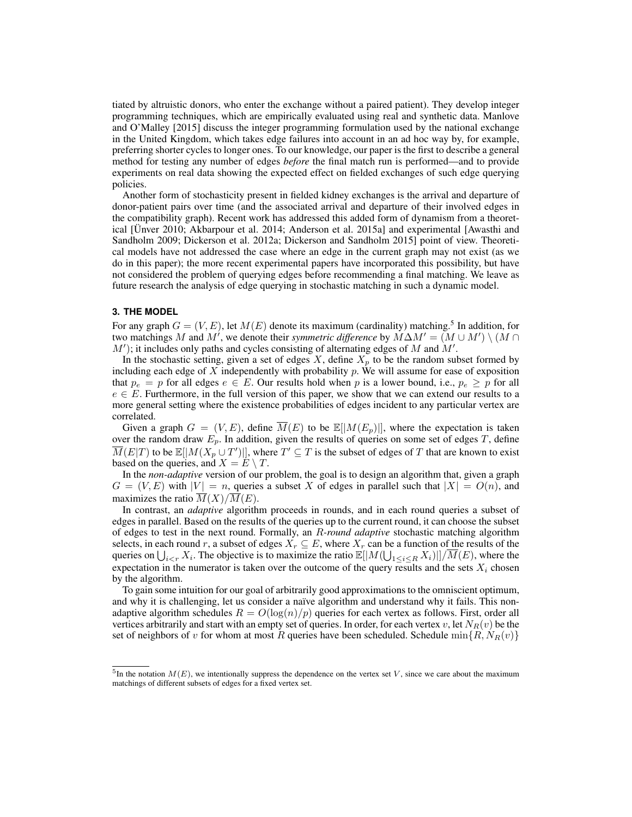tiated by altruistic donors, who enter the exchange without a paired patient). They develop integer programming techniques, which are empirically evaluated using real and synthetic data. [Manlove](#page-17-10) [and O'Malley](#page-17-10) [\[2015\]](#page-17-10) discuss the integer programming formulation used by the national exchange in the United Kingdom, which takes edge failures into account in an ad hoc way by, for example, preferring shorter cycles to longer ones. To our knowledge, our paper is the first to describe a general method for testing any number of edges *before* the final match run is performed—and to provide experiments on real data showing the expected effect on fielded exchanges of such edge querying policies.

Another form of stochasticity present in fielded kidney exchanges is the arrival and departure of donor-patient pairs over time (and the associated arrival and departure of their involved edges in the compatibility graph). Recent work has addressed this added form of dynamism from a theoret-ical [Ünver [2010;](#page-17-11) [Akbarpour et al.](#page-16-8) [2014;](#page-16-8) [Anderson et al.](#page-16-9) [2015a\]](#page-16-9) and experimental [\[Awasthi and](#page-16-10) [Sandholm](#page-16-10) [2009;](#page-16-10) [Dickerson et al.](#page-17-12) [2012a;](#page-17-12) [Dickerson and Sandholm](#page-17-13) [2015\]](#page-17-13) point of view. Theoretical models have not addressed the case where an edge in the current graph may not exist (as we do in this paper); the more recent experimental papers have incorporated this possibility, but have not considered the problem of querying edges before recommending a final matching. We leave as future research the analysis of edge querying in stochastic matching in such a dynamic model.

#### <span id="page-4-1"></span>**3. THE MODEL**

For any graph  $G = (V, E)$ , let  $M(E)$  denote its maximum (cardinality) matching.<sup>[5](#page-4-0)</sup> In addition, for two matchings M and M', we denote their *symmetric difference* by  $\overline{M}\Delta M' = (M \cup M') \setminus (M \cap$  $M'$ ); it includes only paths and cycles consisting of alternating edges of M and  $M'$ .

In the stochastic setting, given a set of edges  $X$ , define  $X_p$  to be the random subset formed by including each edge of  $X$  independently with probability  $p$ . We will assume for ease of exposition that  $p_e = p$  for all edges  $e \in E$ . Our results hold when p is a lower bound, i.e.,  $p_e \geq p$  for all  $e \in E$ . Furthermore, in the full version of this paper, we show that we can extend our results to a more general setting where the existence probabilities of edges incident to any particular vertex are correlated.

Given a graph  $G = (V, E)$ , define  $\overline{M}(E)$  to be  $\mathbb{E}[|M(E_p)|]$ , where the expectation is taken over the random draw  $E_p$ . In addition, given the results of queries on some set of edges T, define  $\overline{M}(E|T)$  to be  $\mathbb{E}[|M(X_p \cup T')|]$ , where  $T' \subseteq T$  is the subset of edges of  $T$  that are known to exist based on the queries, and  $X = E \setminus T$ .

In the *non-adaptive* version of our problem, the goal is to design an algorithm that, given a graph  $G = (V, E)$  with  $|V| = n$ , queries a subset X of edges in parallel such that  $|X| = O(n)$ , and maximizes the ratio  $\overline{M}(X)/\overline{M}(E)$ .

In contrast, an *adaptive* algorithm proceeds in rounds, and in each round queries a subset of edges in parallel. Based on the results of the queries up to the current round, it can choose the subset of edges to test in the next round. Formally, an R*-round adaptive* stochastic matching algorithm selects, in each round r, a subset of edges  $X_r \subseteq E$ , where  $X_r$  can be a function of the results of the queries on  $\bigcup_{i \leq r} X_i$ . The objective is to maximize the ratio  $\mathbb{E}[|M(\bigcup_{1 \leq i \leq R} X_i)|]/\overline{M}(E)$ , where the expectation in the numerator is taken over the outcome of the query results and the sets  $X_i$  chosen by the algorithm.

To gain some intuition for our goal of arbitrarily good approximations to the omniscient optimum, and why it is challenging, let us consider a naïve algorithm and understand why it fails. This nonadaptive algorithm schedules  $R = O(\log(n)/p)$  queries for each vertex as follows. First, order all vertices arbitrarily and start with an empty set of queries. In order, for each vertex v, let  $N_R(v)$  be the set of neighbors of v for whom at most R queries have been scheduled. Schedule  $\min\{R, N_R(v)\}$ 

<span id="page-4-0"></span> $^{5}$ In the notation  $M(E)$ , we intentionally suppress the dependence on the vertex set V, since we care about the maximum matchings of different subsets of edges for a fixed vertex set.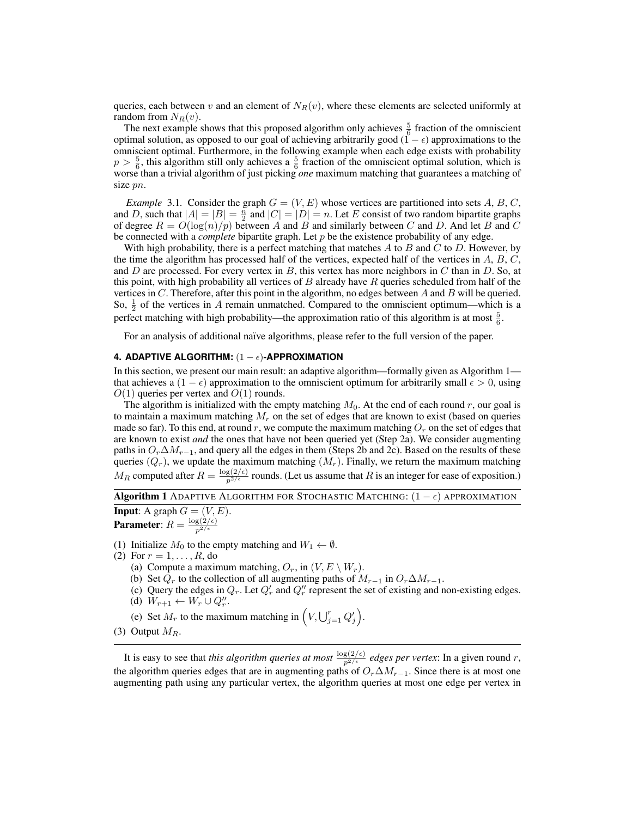queries, each between v and an element of  $N_R(v)$ , where these elements are selected uniformly at random from  $N_R(v)$ .

The next example shows that this proposed algorithm only achieves  $\frac{5}{6}$  fraction of the omniscient optimal solution, as opposed to our goal of achieving arbitrarily good ( $1 - \epsilon$ ) approximations to the omniscient optimal. Furthermore, in the following example when each edge exists with probability  $p > \frac{5}{6}$ , this algorithm still only achieves a  $\frac{5}{6}$  fraction of the omniscient optimal solution, which is worse than a trivial algorithm of just picking *one* maximum matching that guarantees a matching of size pn.

*Example* 3.1. Consider the graph  $G = (V, E)$  whose vertices are partitioned into sets A, B, C, and D, such that  $|A| = |B| = \frac{n}{2}$  and  $|C| = |D| = n$ . Let E consist of two random bipartite graphs of degree  $R = O(\log(n)/p)$  between A and B and similarly between C and D. And let B and C be connected with a *complete* bipartite graph. Let  $p$  be the existence probability of any edge.

With high probability, there is a perfect matching that matches  $A$  to  $B$  and  $C$  to  $D$ . However, by the time the algorithm has processed half of the vertices, expected half of the vertices in  $A, B, C$ , and  $D$  are processed. For every vertex in  $B$ , this vertex has more neighbors in  $C$  than in  $D$ . So, at this point, with high probability all vertices of  $B$  already have  $R$  queries scheduled from half of the vertices in C. Therefore, after this point in the algorithm, no edges between A and B will be queried. So,  $\frac{1}{2}$  of the vertices in A remain unmatched. Compared to the omniscient optimum—which is a perfect matching with high probability—the approximation ratio of this algorithm is at most  $\frac{5}{6}$ .

For an analysis of additional naïve algorithms, please refer to the full version of the paper.

## **4. ADAPTIVE ALGORITHM: (1 −**  $\epsilon$ **)-APPROXIMATION**

In this section, we present our main result: an adaptive algorithm—formally given as Algorithm [1](#page-5-0) that achieves a  $(1 - \epsilon)$  approximation to the omniscient optimum for arbitrarily small  $\epsilon > 0$ , using  $O(1)$  queries per vertex and  $O(1)$  rounds.

The algorithm is initialized with the empty matching  $M_0$ . At the end of each round r, our goal is to maintain a maximum matching  $M_r$  on the set of edges that are known to exist (based on queries made so far). To this end, at round r, we compute the maximum matching  $O_r$  on the set of edges that are known to exist *and* the ones that have not been queried yet (Step [2a\)](#page-5-1). We consider augmenting paths in  $O_r\Delta M_{r-1}$ , and query all the edges in them (Steps [2b](#page-5-2) and [2c\)](#page-5-3). Based on the results of these queries  $(Q_r)$ , we update the maximum matching  $(M_r)$ . Finally, we return the maximum matching  $M_R$  computed after  $R = \frac{\log(2/\epsilon)}{p^{2/\epsilon}}$  rounds. (Let us assume that R is an integer for ease of exposition.)

Algorithm 1 ADAPTIVE ALGORITHM FOR STOCHASTIC MATCHING:  $(1 - \epsilon)$  APPROXIMATION

<span id="page-5-0"></span>**Input:** A graph  $G = (V, E)$ . **Parameter**:  $R = \frac{\log(2/\epsilon)}{n^{2/\epsilon}}$  $p^{2/\epsilon}$ 

(1) Initialize  $M_0$  to the empty matching and  $W_1 \leftarrow \emptyset$ .

- <span id="page-5-3"></span><span id="page-5-2"></span><span id="page-5-1"></span>(2) For  $r = 1, ..., R$ , do
	- (a) Compute a maximum matching,  $O_r$ , in  $(V, E \setminus W_r)$ .
	- (b) Set  $Q_r$  to the collection of all augmenting paths of  $M_{r-1}$  in  $O_r\Delta M_{r-1}$ .
	- (c) Query the edges in  $Q_r$ . Let  $Q'_r$  and  $Q''_r$  represent the set of existing and non-existing edges.
	- (d)  $W_{r+1} \leftarrow W_r \cup Q''_r$ .
	- (e) Set  $M_r$  to the maximum matching in  $(V, \bigcup_{j=1}^r Q'_j)$ .
- (3) Output  $M_R$ .

It is easy to see that *this algorithm queries at most*  $\frac{\log(2/\epsilon)}{p^{2/\epsilon}}$  *edges per vertex*: In a given round r, the algorithm queries edges that are in augmenting paths of  $O<sub>r</sub> \Delta M<sub>r-1</sub>$ . Since there is at most one augmenting path using any particular vertex, the algorithm queries at most one edge per vertex in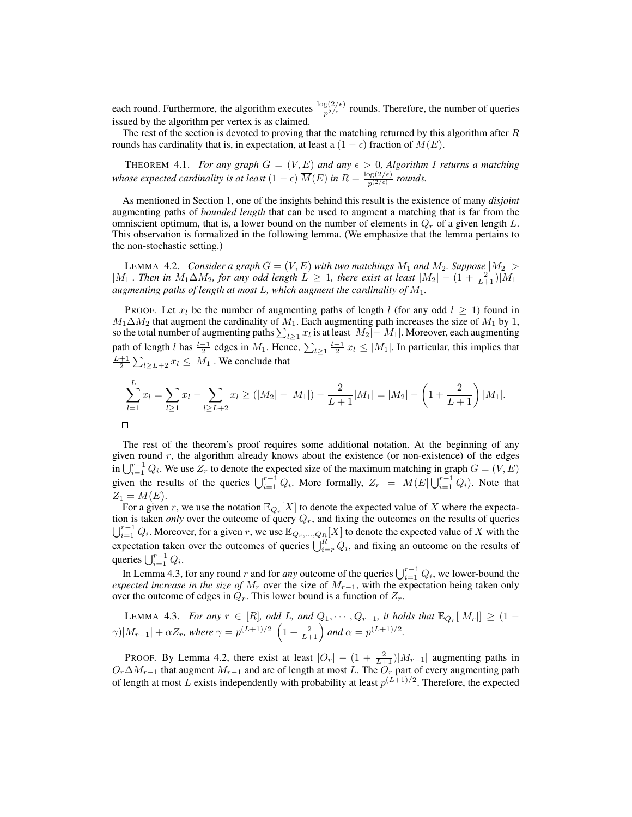each round. Furthermore, the algorithm executes  $\frac{\log(2/\epsilon)}{p^{2/\epsilon}}$  rounds. Therefore, the number of queries issued by the algorithm per vertex is as claimed.

The rest of the section is devoted to proving that the matching returned by this algorithm after  $R$ rounds has cardinality that is, in expectation, at least a  $(1 - \epsilon)$  fraction of  $M(E)$ .

<span id="page-6-2"></span>THEOREM 4.[1](#page-5-0). *For any graph*  $G = (V, E)$  *and any*  $\epsilon > 0$ , Algorithm 1 returns a matching *whose expected cardinality is at least*  $(1 - \epsilon)$   $\overline{M}(E)$  *in*  $R = \frac{\log(2/\epsilon)}{p^{(2/\epsilon)}}$  *rounds.* 

As mentioned in Section [1,](#page-0-0) one of the insights behind this result is the existence of many *disjoint* augmenting paths of *bounded length* that can be used to augment a matching that is far from the omniscient optimum, that is, a lower bound on the number of elements in  $Q_r$  of a given length L. This observation is formalized in the following lemma. (We emphasize that the lemma pertains to the non-stochastic setting.)

<span id="page-6-1"></span>LEMMA 4.2. *Consider a graph*  $G = (V, E)$  *with two matchings*  $M_1$  *and*  $M_2$ *. Suppose*  $|M_2| >$  $|M_1|$ *. Then in*  $M_1 \Delta M_2$ *, for any odd length*  $L \geq 1$ *, there exist at least*  $|M_2| - (1 + \frac{2}{L+1})|M_1|$ *augmenting paths of length at most* L*, which augment the cardinality of* M1*.*

PROOF. Let  $x_l$  be the number of augmenting paths of length l (for any odd  $l \geq 1$ ) found in  $M_1 \Delta M_2$  that augment the cardinality of  $M_1$ . Each augmenting path increases the size of  $M_1$  by 1, so the total number of augmenting paths  $\sum_{l\geq 1}x_l$  is at least  $|M_2|-|M_1|$ . Moreover, each augmenting path of length l has  $\frac{l-1}{2}$  edges in  $M_1$ . Hence,  $\sum_{l\geq 1} \frac{l-1}{2} x_l \leq |M_1|$ . In particular, this implies that  $\frac{L+1}{2} \sum_{l \ge L+2} x_l \le |M_1|$ . We conclude that

$$
\sum_{l=1}^{L} x_l = \sum_{l \ge 1} x_l - \sum_{l \ge L+2} x_l \ge (|M_2| - |M_1|) - \frac{2}{L+1}|M_1| = |M_2| - \left(1 + \frac{2}{L+1}\right)|M_1|.
$$

The rest of the theorem's proof requires some additional notation. At the beginning of any given round  $r$ , the algorithm already knows about the existence (or non-existence) of the edges in  $\bigcup_{i=1}^{r-1} Q_i$ . We use  $Z_r$  to denote the expected size of the maximum matching in graph  $G = (V, E)$ given the results of the queries  $\bigcup_{i=1}^{r-1} Q_i$ . More formally,  $Z_r = \overline{M}(E \bigcup_{i=1}^{r-1} Q_i)$ . Note that  $Z_1 = \overline{M}(E).$ 

For a given r, we use the notation  $\mathbb{E}_{Q_r}[X]$  to denote the expected value of X where the expectation is taken *only* over the outcome of query  $Q_r$ , and fixing the outcomes on the results of queries  $\bigcup_{i=1}^{r-1} Q_i$ . Moreover, for a given r, we use  $\mathbb{E}_{Q_r,...,Q_R}[X]$  to denote the expected value of X with the expectation taken over the outcomes of queries  $\bigcup_{i=r}^{R} Q_i$ , and fixing an outcome on the results of queries  $\bigcup_{i=1}^{r-1} Q_i$ .

In Lemma [4.3,](#page-6-0) for any round r and for *any* outcome of the queries  $\bigcup_{i=1}^{r-1} Q_i$ , we lower-bound the *expected increase in the size of*  $M_r$  over the size of  $M_{r-1}$ , with the expectation being taken only over the outcome of edges in  $Q_r$ . This lower bound is a function of  $Z_r$ .

<span id="page-6-0"></span>LEMMA 4.3. For any 
$$
r \in [R]
$$
, odd L, and  $Q_1, \dots, Q_{r-1}$ , it holds that  $\mathbb{E}_{Q_r}[[M_r]] \geq (1 - \gamma)|M_{r-1}| + \alpha Z_r$ , where  $\gamma = p^{(L+1)/2} \left(1 + \frac{2}{L+1}\right)$  and  $\alpha = p^{(L+1)/2}$ .

PROOF. By Lemma [4.2,](#page-6-1) there exist at least  $|O_r| - (1 + \frac{2}{L+1})|M_{r-1}|$  augmenting paths in  $O_r\Delta M_{r-1}$  that augment  $M_{r-1}$  and are of length at most L. The  $O_r$  part of every augmenting path of length at most L exists independently with probability at least  $p^{(L+1)/2}$ . Therefore, the expected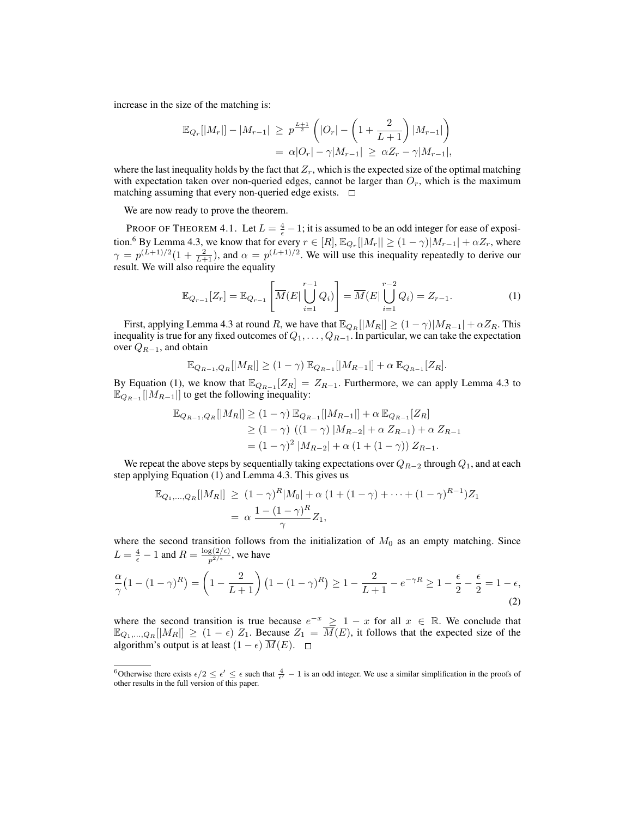increase in the size of the matching is:

$$
\mathbb{E}_{Q_r}[|M_r|] - |M_{r-1}| \ge p^{\frac{L+1}{2}} \left( |O_r| - \left(1 + \frac{2}{L+1}\right)|M_{r-1}|\right) \n= \alpha |O_r| - \gamma |M_{r-1}| \ge \alpha Z_r - \gamma |M_{r-1}|,
$$

where the last inequality holds by the fact that  $Z_r$ , which is the expected size of the optimal matching with expectation taken over non-queried edges, cannot be larger than  $O_r$ , which is the maximum matching assuming that every non-queried edge exists.  $\Box$ 

We are now ready to prove the theorem.

PROOF OF THEOREM [4.1.](#page-6-2) Let  $L = \frac{4}{\epsilon} - 1$ ; it is assumed to be an odd integer for ease of exposi-tion.<sup>[6](#page-7-0)</sup> By Lemma [4.3,](#page-6-0) we know that for every  $r \in [R], \mathbb{E}_{Q_r}[|M_r|] \ge (1 - \gamma)|M_{r-1}| + \alpha Z_r$ , where  $\gamma = p^{(L+1)/2}(1 + \frac{2}{L+1})$ , and  $\alpha = p^{(L+1)/2}$ . We will use this inequality repeatedly to derive our result. We will also require the equality

<span id="page-7-1"></span>
$$
\mathbb{E}_{Q_{r-1}}[Z_r] = \mathbb{E}_{Q_{r-1}}\left[\overline{M}(E|\bigcup_{i=1}^{r-1} Q_i)\right] = \overline{M}(E|\bigcup_{i=1}^{r-2} Q_i) = Z_{r-1}.
$$
 (1)

First, applying Lemma [4.3](#page-6-0) at round R, we have that  $\mathbb{E}_{Q_R}[|M_R|] \geq (1 - \gamma)|M_{R-1}| + \alpha Z_R$ . This inequality is true for any fixed outcomes of  $Q_1, \ldots, Q_{R-1}$ . In particular, we can take the expectation over  $Q_{R-1}$ , and obtain

$$
\mathbb{E}_{Q_{R-1},Q_R}[|M_R|] \ge (1-\gamma) \mathbb{E}_{Q_{R-1}}[|M_{R-1}|] + \alpha \mathbb{E}_{Q_{R-1}}[Z_R].
$$

By Equation [\(1\)](#page-7-1), we know that  $\mathbb{E}_{Q_{R-1}}[Z_R] = Z_{R-1}$ . Furthermore, we can apply Lemma [4.3](#page-6-0) to  $\mathbb{E}_{Q_{R-1}}[|M_{R-1}|]$  to get the following inequality:

$$
\mathbb{E}_{Q_{R-1},Q_R}[|M_R|] \ge (1-\gamma) \mathbb{E}_{Q_{R-1}}[|M_{R-1}|] + \alpha \mathbb{E}_{Q_{R-1}}[Z_R]
$$
  
\n
$$
\ge (1-\gamma) ((1-\gamma) |M_{R-2}| + \alpha Z_{R-1}) + \alpha Z_{R-1}
$$
  
\n
$$
= (1-\gamma)^2 |M_{R-2}| + \alpha (1 + (1-\gamma)) Z_{R-1}.
$$

We repeat the above steps by sequentially taking expectations over  $Q_{R-2}$  through  $Q_1$ , and at each step applying Equation [\(1\)](#page-7-1) and Lemma [4.3.](#page-6-0) This gives us

$$
\mathbb{E}_{Q_1,...,Q_R}[|M_R|] \ge (1-\gamma)^R |M_0| + \alpha (1 + (1-\gamma) + \dots + (1-\gamma)^{R-1}) Z_1
$$
  
=  $\alpha \frac{1 - (1-\gamma)^R}{\gamma} Z_1$ ,

where the second transition follows from the initialization of  $M_0$  as an empty matching. Since  $L = \frac{4}{\epsilon} - 1$  and  $R = \frac{\log(2/\epsilon)}{p^{2/\epsilon}}$ , we have

$$
\frac{\alpha}{\gamma} \left(1 - (1 - \gamma)^R\right) = \left(1 - \frac{2}{L+1}\right) \left(1 - (1 - \gamma)^R\right) \ge 1 - \frac{2}{L+1} - e^{-\gamma R} \ge 1 - \frac{\epsilon}{2} - \frac{\epsilon}{2} = 1 - \epsilon,
$$
\n(2)

where the second transition is true because  $e^{-x} \geq 1 - x$  for all  $x \in \mathbb{R}$ . We conclude that  $\mathbb{E}_{Q_1,...,Q_R}[|M_R|] \geq (1 - \epsilon) Z_1$ . Because  $Z_1 = \overline{M}(E)$ , it follows that the expected size of the algorithm's output is at least  $(1 - \epsilon) \overline{M}(E)$ . □

<span id="page-7-0"></span><sup>&</sup>lt;sup>6</sup>Otherwise there exists  $\epsilon/2 \leq \epsilon' \leq \epsilon$  such that  $\frac{4}{\epsilon'} - 1$  is an odd integer. We use a similar simplification in the proofs of other results in the full version of this paper.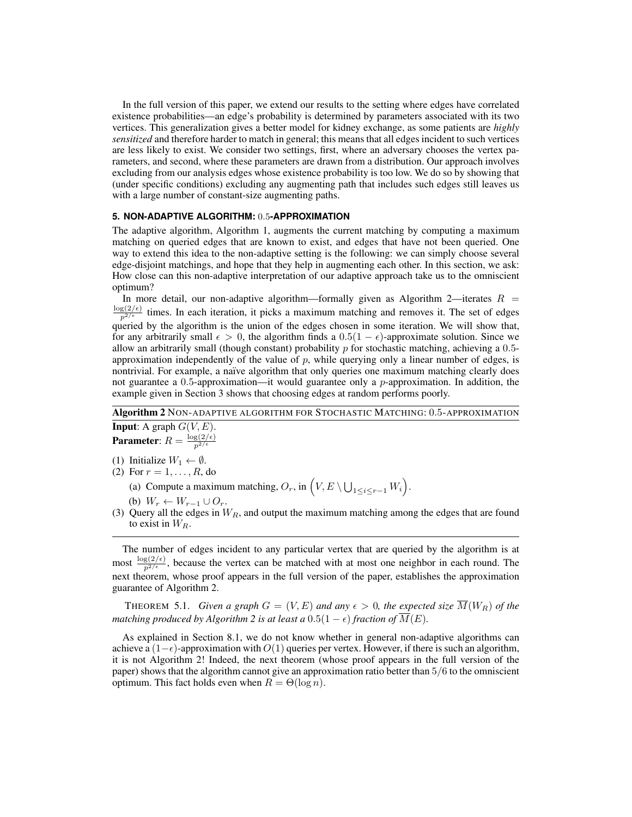In the full version of this paper, we extend our results to the setting where edges have correlated existence probabilities—an edge's probability is determined by parameters associated with its two vertices. This generalization gives a better model for kidney exchange, as some patients are *highly sensitized* and therefore harder to match in general; this means that all edges incident to such vertices are less likely to exist. We consider two settings, first, where an adversary chooses the vertex parameters, and second, where these parameters are drawn from a distribution. Our approach involves excluding from our analysis edges whose existence probability is too low. We do so by showing that (under specific conditions) excluding any augmenting path that includes such edges still leaves us with a large number of constant-size augmenting paths.

#### **5. NON-ADAPTIVE ALGORITHM:** 0.5**-APPROXIMATION**

The adaptive algorithm, Algorithm [1,](#page-5-0) augments the current matching by computing a maximum matching on queried edges that are known to exist, and edges that have not been queried. One way to extend this idea to the non-adaptive setting is the following: we can simply choose several edge-disjoint matchings, and hope that they help in augmenting each other. In this section, we ask: How close can this non-adaptive interpretation of our adaptive approach take us to the omniscient optimum?

In more detail, our non-adaptive algorithm—formally given as Algorithm [2—](#page-8-0)iterates  $R =$  $\frac{\log(2/\epsilon)}{p^{2/\epsilon}}$  times. In each iteration, it picks a maximum matching and removes it. The set of edges queried by the algorithm is the union of the edges chosen in some iteration. We will show that, for any arbitrarily small  $\epsilon > 0$ , the algorithm finds a  $0.5(1 - \epsilon)$ -approximate solution. Since we allow an arbitrarily small (though constant) probability  $p$  for stochastic matching, achieving a 0.5approximation independently of the value of  $p$ , while querying only a linear number of edges, is nontrivial. For example, a naïve algorithm that only queries one maximum matching clearly does not guarantee a 0.5-approximation—it would guarantee only a  $p$ -approximation. In addition, the example given in Section [3](#page-4-1) shows that choosing edges at random performs poorly.

Algorithm 2 NON-ADAPTIVE ALGORITHM FOR STOCHASTIC MATCHING: 0.5-APPROXIMATION

<span id="page-8-0"></span>**Input:** A graph  $G(V, E)$ . **Parameter**:  $R = \frac{\log(2/\epsilon)}{n^{2/\epsilon}}$  $p^{2/\epsilon}$ 

- (1) Initialize  $W_1 \leftarrow \emptyset$ .
- (2) For  $r = 1, ..., R$ , do
	- (a) Compute a maximum matching,  $O_r$ , in  $\left(V, E \setminus \bigcup_{1 \leq i \leq r-1} W_i\right)$ .
	- (b)  $W_r \leftarrow W_{r-1} \cup O_r$ .
- (3) Query all the edges in  $W_R$ , and output the maximum matching among the edges that are found to exist in  $W_R$ .

The number of edges incident to any particular vertex that are queried by the algorithm is at most  $\frac{\log(2/\epsilon)}{p^{2/\epsilon}}$ , because the vertex can be matched with at most one neighbor in each round. The next theorem, whose proof appears in the full version of the paper, establishes the approximation guarantee of Algorithm [2.](#page-8-0)

<span id="page-8-1"></span>**THEOREM 5.1.** *Given a graph*  $G = (V, E)$  *and any*  $\epsilon > 0$ *, the expected size*  $\overline{M}(W_R)$  *of the matching produced by Algorithm* [2](#page-8-0) *is at least a*  $0.5(1 - \epsilon)$  *fraction of*  $\overline{M}(E)$ *.* 

As explained in Section [8.1,](#page-15-0) we do not know whether in general non-adaptive algorithms can achieve a (1− $\epsilon$ )-approximation with  $O(1)$  queries per vertex. However, if there is such an algorithm, it is not Algorithm [2!](#page-8-0) Indeed, the next theorem (whose proof appears in the full version of the paper) shows that the algorithm cannot give an approximation ratio better than 5/6 to the omniscient optimum. This fact holds even when  $R = \Theta(\log n)$ .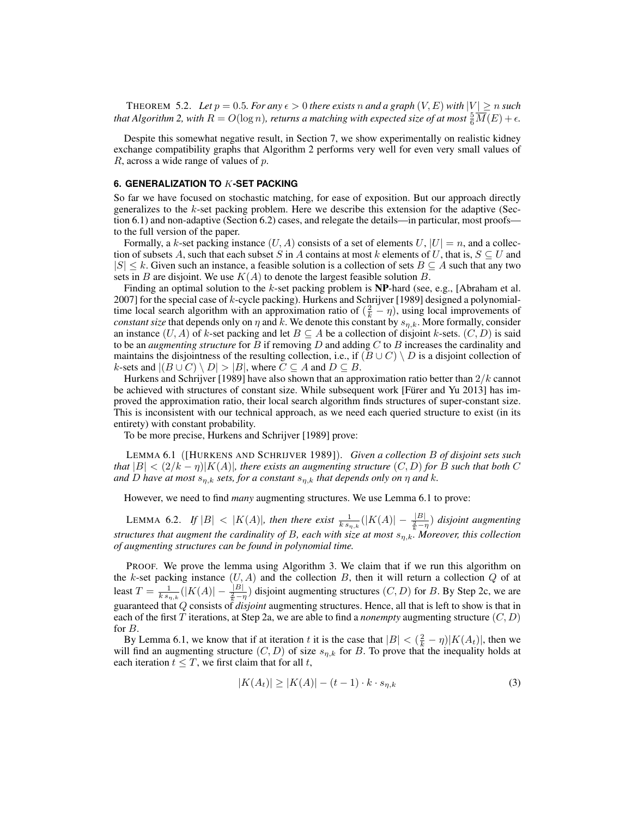THEOREM 5.2. Let  $p = 0.5$ . For any  $\epsilon > 0$  there exists n and a graph  $(V, E)$  with  $|V| \ge n$  such that Algorithm [2,](#page-8-0) with  $R = O(\log n)$ , returns a matching with expected size of at most  $\frac{5}{6}\overline{M}(E) + \epsilon$ .

Despite this somewhat negative result, in Section [7,](#page-11-0) we show experimentally on realistic kidney exchange compatibility graphs that Algorithm [2](#page-8-0) performs very well for even very small values of  $R$ , across a wide range of values of  $p$ .

#### **6. GENERALIZATION TO** K**-SET PACKING**

So far we have focused on stochastic matching, for ease of exposition. But our approach directly generalizes to the k-set packing problem. Here we describe this extension for the adaptive (Section [6.1\)](#page-10-0) and non-adaptive (Section [6.2\)](#page-10-1) cases, and relegate the details—in particular, most proofs to the full version of the paper.

Formally, a k-set packing instance  $(U, A)$  consists of a set of elements  $U$ ,  $|U| = n$ , and a collection of subsets A, such that each subset S in A contains at most k elements of U, that is,  $S \subseteq U$  and  $|S| \leq k$ . Given such an instance, a feasible solution is a collection of sets  $B \subseteq A$  such that any two sets in B are disjoint. We use  $K(A)$  to denote the largest feasible solution B.

Finding an optimal solution to the k-set packing problem is NP-hard (see, e.g., [\[Abraham et al.](#page-16-11) [2007\]](#page-16-11) for the special case of k-cycle packing). [Hurkens and Schrijver](#page-17-1) [\[1989\]](#page-17-1) designed a polynomialtime local search algorithm with an approximation ratio of  $(\frac{2}{k} - \eta)$ , using local improvements of *constant size* that depends only on  $\eta$  and k. We denote this constant by  $s_{\eta,k}$ . More formally, consider an instance  $(U, A)$  of k-set packing and let  $B \subseteq A$  be a collection of disjoint k-sets.  $(C, D)$  is said to be an *augmenting structure* for B if removing D and adding C to B increases the cardinality and maintains the disjointness of the resulting collection, i.e., if  $(B \cup C) \setminus D$  is a disjoint collection of k-sets and  $|(B \cup C) \setminus D| > |B|$ , where  $C \subseteq A$  and  $D \subseteq B$ .

[Hurkens and Schrijver](#page-17-1) [\[1989\]](#page-17-1) have also shown that an approximation ratio better than  $2/k$  cannot be achieved with structures of constant size. While subsequent work [Fürer and Yu [2013\]](#page-17-0) has improved the approximation ratio, their local search algorithm finds structures of super-constant size. This is inconsistent with our technical approach, as we need each queried structure to exist (in its entirety) with constant probability.

<span id="page-9-0"></span>To be more precise, [Hurkens and Schrijver](#page-17-1) [\[1989\]](#page-17-1) prove:

LEMMA 6.1 ([H[URKENS AND](#page-17-1) SCHRIJVER [1989\]](#page-17-1)). *Given a collection* B *of disjoint sets such that*  $|B| < (2/k - \eta)|K(A)|$ *, there exists an augmenting structure*  $(C, D)$  *for* B *such that both* C *and* D *have at most*  $s_{\eta,k}$  *sets, for a constant*  $s_{\eta,k}$  *that depends only on*  $\eta$  *and*  $k$ *.* 

However, we need to find *many* augmenting structures. We use Lemma [6.1](#page-9-0) to prove:

<span id="page-9-2"></span>LEMMA 6.2. If  $|B| < |K(A)|$ , then there exist  $\frac{1}{k \cdot s_{\eta,k}}(|K(A)| - \frac{|B|}{\frac{2}{k}-\eta})$  disjoint augmenting *structures that augment the cardinality of* B*, each with size at most* sη,k*. Moreover, this collection of augmenting structures can be found in polynomial time.*

PROOF. We prove the lemma using Algorithm [3.](#page-10-2) We claim that if we run this algorithm on the k-set packing instance  $(U, A)$  and the collection B, then it will return a collection Q of at least  $T = \frac{1}{k s_{\eta,k}} (|K(A)| - \frac{|B|}{\frac{2}{k} - \eta})$  disjoint augmenting structures  $(C, D)$  for B. By Step [2c,](#page-10-3) we are guaranteed that Q consists of *disjoint* augmenting structures. Hence, all that is left to show is that in each of the first T iterations, at Step [2a,](#page-10-4) we are able to find a *nonempty* augmenting structure  $(C, D)$ for B.

By Lemma [6.1,](#page-9-0) we know that if at iteration t it is the case that  $|B| < (\frac{2}{k} - \eta)|K(A_t)|$ , then we will find an augmenting structure  $(C, D)$  of size  $s_{\eta,k}$  for B. To prove that the inequality holds at each iteration  $t \leq T$ , we first claim that for all t,

<span id="page-9-1"></span>
$$
|K(A_t)| \ge |K(A)| - (t - 1) \cdot k \cdot s_{\eta,k} \tag{3}
$$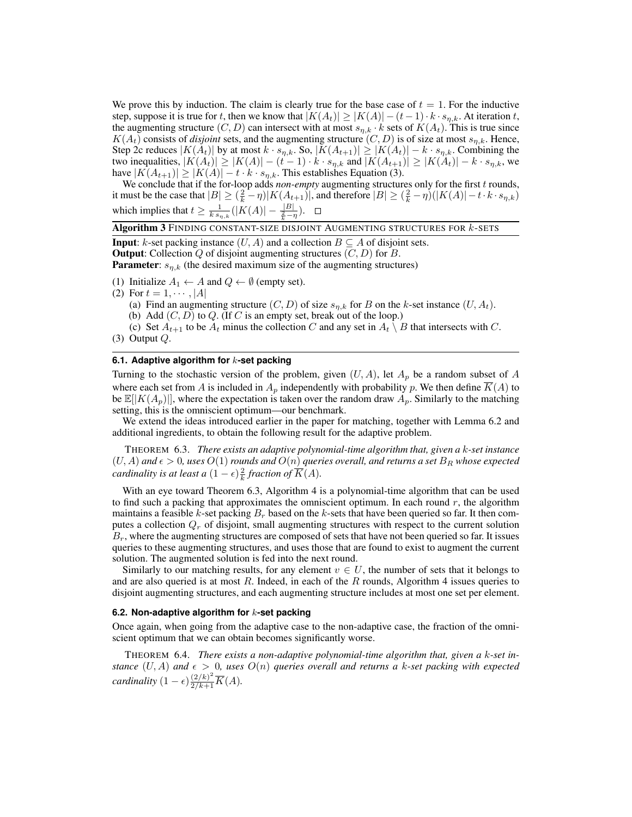We prove this by induction. The claim is clearly true for the base case of  $t = 1$ . For the inductive step, suppose it is true for t, then we know that  $|K(A_t)| \geq |K(A)| - (t-1) \cdot k \cdot s_{\eta,k}$ . At iteration t, the augmenting structure  $(C, D)$  can intersect with at most  $s_{\eta,k} \cdot k$  sets of  $K(A_t)$ . This is true since  $K(A_t)$  consists of *disjoint* sets, and the augmenting structure  $(C, D)$  is of size at most  $s_{\eta,k}$ . Hence, Step [2c](#page-10-3) reduces  $|K(A_t)|$  by at most  $k \cdot s_{\eta,k}$ . So,  $|K(A_{t+1})| \geq |K(A_t)| - k \cdot s_{\eta,k}$ . Combining the two inequalities,  $|K(A_t)| \ge |K(A)| - (t-1) \cdot k \cdot s_{\eta,k}$  and  $|K(A_{t+1})| \ge |K(A_t)| - k \cdot s_{\eta,k}$ , we have  $|K(A_{t+1})| \geq |K(A)| - t \cdot k \cdot s_{\eta,k}$ . This establishes Equation [\(3\)](#page-9-1).

We conclude that if the for-loop adds *non-empty* augmenting structures only for the first t rounds, it must be the case that  $|B| \geq (\frac{2}{k} - \eta)|K(A_{t+1})|$ , and therefore  $|B| \geq (\frac{2}{k} - \eta)(|K(A)| - t \cdot k \cdot s_{\eta,k})$ which implies that  $t \geq \frac{1}{k s_{\eta,k}}(|K(A)| - \frac{|B|}{\frac{2}{k} - \eta}).$ 

Algorithm 3 FINDING CONSTANT-SIZE DISJOINT AUGMENTING STRUCTURES FOR k-SETS

<span id="page-10-2"></span>**Input:** k-set packing instance  $(U, A)$  and a collection  $B \subseteq A$  of disjoint sets. **Output:** Collection  $Q$  of disjoint augmenting structures  $(C, D)$  for  $B$ .

**Parameter:**  $s_{\eta,k}$  (the desired maximum size of the augmenting structures)

- (1) Initialize  $A_1 \leftarrow A$  and  $Q \leftarrow \emptyset$  (empty set).
- <span id="page-10-4"></span>(2) For  $t = 1, \dots, |A|$ 
	- (a) Find an augmenting structure  $(C, D)$  of size  $s_{n,k}$  for B on the k-set instance  $(U, A_t)$ .
	- (b) Add  $(C, D)$  to  $Q$ . (If C is an empty set, break out of the loop.)
	- (c) Set  $A_{t+1}$  to be  $A_t$  minus the collection C and any set in  $A_t \setminus B$  that intersects with C.
- <span id="page-10-3"></span>(3) Output Q.

# <span id="page-10-0"></span>**6.1. Adaptive algorithm for** k**-set packing**

Turning to the stochastic version of the problem, given  $(U, A)$ , let  $A_p$  be a random subset of A where each set from A is included in  $A_p$  independently with probability p. We then define  $\overline{K}(A)$  to be  $\mathbb{E}[|K(A_p)|]$ , where the expectation is taken over the random draw  $A_p$ . Similarly to the matching setting, this is the omniscient optimum—our benchmark.

We extend the ideas introduced earlier in the paper for matching, together with Lemma [6.2](#page-9-2) and additional ingredients, to obtain the following result for the adaptive problem.

<span id="page-10-5"></span>THEOREM 6.3. *There exists an adaptive polynomial-time algorithm that, given a* k*-set instance*  $(U, A)$  and  $\epsilon > 0$ , uses  $O(1)$  *rounds and*  $O(n)$  *queries overall, and returns a set*  $B_R$  *whose expected cardinality is at least a*  $(1 - \epsilon) \frac{2}{k}$  *fraction of*  $\overline{K}(A)$ *.* 

With an eye toward Theorem [6.3,](#page-10-5) Algorithm [4](#page-11-1) is a polynomial-time algorithm that can be used to find such a packing that approximates the omniscient optimum. In each round  $r$ , the algorithm maintains a feasible k-set packing  $B_r$  based on the k-sets that have been queried so far. It then computes a collection  $Q_r$  of disjoint, small augmenting structures with respect to the current solution  $B_r$ , where the augmenting structures are composed of sets that have not been queried so far. It issues queries to these augmenting structures, and uses those that are found to exist to augment the current solution. The augmented solution is fed into the next round.

Similarly to our matching results, for any element  $v \in U$ , the number of sets that it belongs to and are also queried is at most  $R$ . Indeed, in each of the  $R$  rounds, Algorithm [4](#page-11-1) issues queries to disjoint augmenting structures, and each augmenting structure includes at most one set per element.

# <span id="page-10-1"></span>**6.2. Non-adaptive algorithm for** k**-set packing**

Once again, when going from the adaptive case to the non-adaptive case, the fraction of the omniscient optimum that we can obtain becomes significantly worse.

<span id="page-10-6"></span>THEOREM 6.4. *There exists a non-adaptive polynomial-time algorithm that, given a* k*-set instance*  $(U, A)$  *and*  $\epsilon > 0$ *, uses*  $O(n)$  *queries overall and returns a k-set packing with expected cardinality*  $(1 - \epsilon) \frac{(2/k)^2}{2/k+1} \overline{K}(A)$ *.*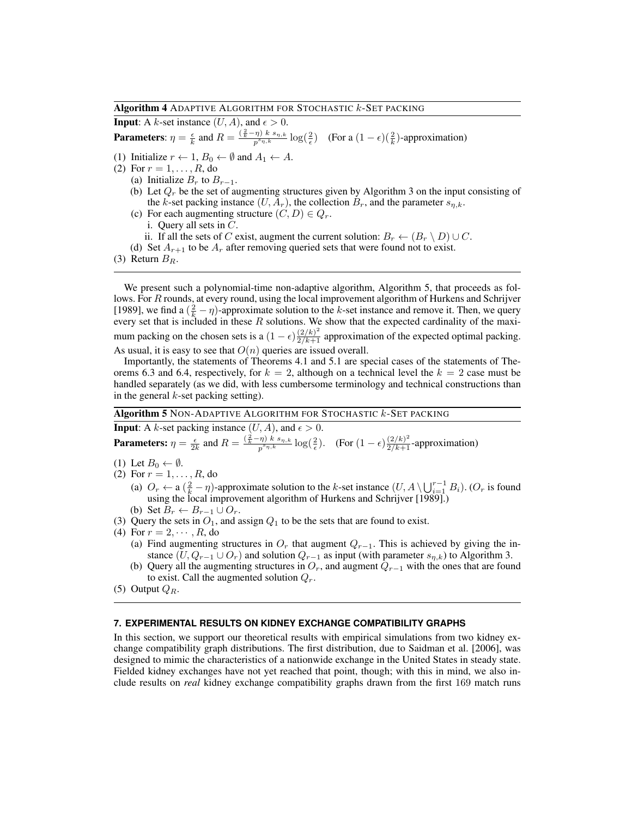#### Algorithm 4 ADAPTIVE ALGORITHM FOR STOCHASTIC k-SET PACKING

<span id="page-11-1"></span>**Input:** A *k*-set instance  $(\overline{U}, \overline{A})$ , and  $\epsilon > 0$ .

**Parameters:**  $\eta = \frac{\epsilon}{k}$  and  $R = \frac{(\frac{2}{k} - \eta) k s_{\eta,k}}{p^{s_{\eta,k}}} \log(\frac{2}{\epsilon})$  (For a  $(1 - \epsilon)(\frac{2}{k})$ -approximation)

- (1) Initialize  $r \leftarrow 1, B_0 \leftarrow \emptyset$  and  $A_1 \leftarrow A$ .
- (2) For  $r = 1, ..., R$ , do
	- (a) Initialize  $B_r$  to  $B_{r-1}$ .
	- (b) Let  $Q_r$  be the set of augmenting structures given by Algorithm [3](#page-10-2) on the input consisting of the k-set packing instance  $(U, A_r)$ , the collection  $B_r$ , and the parameter  $s_{\eta,k}$ .
	- (c) For each augmenting structure  $(C, D) \in Q_r$ . i. Query all sets in C.
	- ii. If all the sets of C exist, augment the current solution:  $B_r \leftarrow (B_r \setminus D) \cup C$ .
	- (d) Set  $A_{r+1}$  to be  $A_r$  after removing queried sets that were found not to exist.
- (3) Return  $B_R$ .

We present such a polynomial-time non-adaptive algorithm, Algorithm [5,](#page-11-2) that proceeds as follows. For  $R$  rounds, at every round, using the local improvement algorithm of [Hurkens and Schrijver](#page-17-1) [\[1989\]](#page-17-1), we find a  $(\frac{2}{k} - \eta)$ -approximate solution to the k-set instance and remove it. Then, we query every set that is included in these  $R$  solutions. We show that the expected cardinality of the maximum packing on the chosen sets is a  $(1 - \epsilon) \frac{(2/k)^2}{2/k+1}$  approximation of the expected optimal packing. As usual, it is easy to see that  $O(n)$  queries are issued overall.

Importantly, the statements of Theorems [4.1](#page-6-2) and [5.1](#page-8-1) are special cases of the statements of The-orems [6.3](#page-10-5) and [6.4,](#page-10-6) respectively, for  $k = 2$ , although on a technical level the  $k = 2$  case must be handled separately (as we did, with less cumbersome terminology and technical constructions than in the general  $k$ -set packing setting).

# Algorithm 5 NON-ADAPTIVE ALGORITHM FOR STOCHASTIC k-SET PACKING

<span id="page-11-2"></span>**Input**: A k-set packing instance  $(U, A)$ , and  $\epsilon > 0$ . **Parameters:**  $\eta = \frac{\epsilon}{2k}$  and  $R = \frac{(\frac{2}{k} - \eta) k s_{\eta,k}}{p^{s_{\eta,k}}} \log(\frac{2}{\epsilon})$ . (For  $(1 - \epsilon) \frac{(2/k)^2}{2/k + 1}$ -approximation)

- (1) Let  $B_0 \leftarrow \emptyset$ .
- (2) For  $r = 1, ..., R$ , do
	- (a)  $O_r \leftarrow$  a  $(\frac{2}{k} \eta)$ -approximate solution to the k-set instance  $(U, A \setminus \bigcup_{i=1}^{r-1} B_i)$ .  $(O_r$  is found using the local improvement algorithm of [Hurkens and Schrijver](#page-17-1) [\[1989\]](#page-17-1).) (b) Set  $B_r \leftarrow B_{r-1} \cup O_r$ .
- (3) Query the sets in  $O_1$ , and assign  $Q_1$  to be the sets that are found to exist.
- (4) For  $r = 2, \dots, R$ , do
	- (a) Find augmenting structures in  $O_r$  that augment  $Q_{r-1}$ . This is achieved by giving the instance  $(U, Q_{r-1} \cup O_r)$  and solution  $Q_{r-1}$  as input (with parameter  $s_{\eta,k}$ ) to Algorithm [3.](#page-10-2)
	- (b) Query all the augmenting structures in  $O_r$ , and augment  $Q_{r-1}$  with the ones that are found to exist. Call the augmented solution  $Q_r$ .
- (5) Output  $Q_R$ .

# <span id="page-11-0"></span>**7. EXPERIMENTAL RESULTS ON KIDNEY EXCHANGE COMPATIBILITY GRAPHS**

In this section, we support our theoretical results with empirical simulations from two kidney exchange compatibility graph distributions. The first distribution, due to [Saidman et al.](#page-17-14) [\[2006\]](#page-17-14), was designed to mimic the characteristics of a nationwide exchange in the United States in steady state. Fielded kidney exchanges have not yet reached that point, though; with this in mind, we also include results on *real* kidney exchange compatibility graphs drawn from the first 169 match runs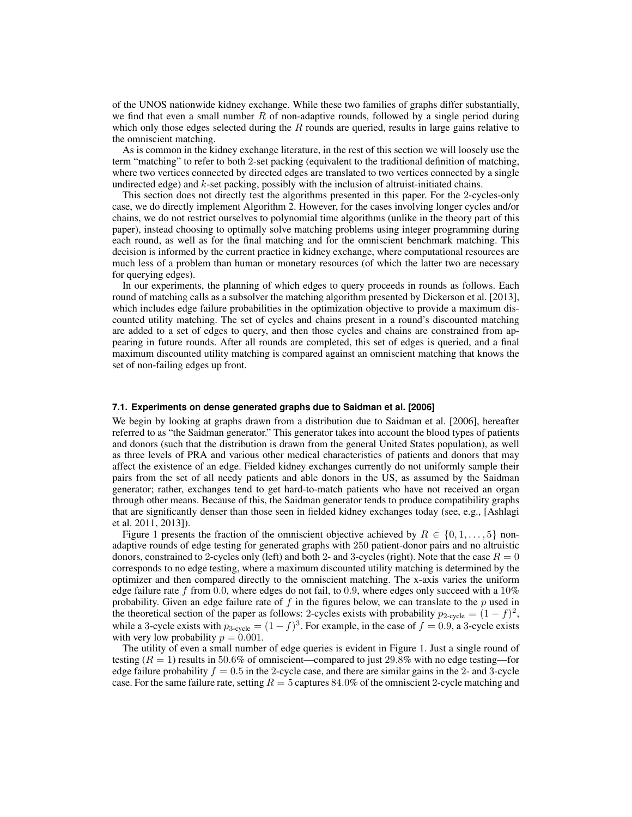of the UNOS nationwide kidney exchange. While these two families of graphs differ substantially, we find that even a small number  $R$  of non-adaptive rounds, followed by a single period during which only those edges selected during the  $R$  rounds are queried, results in large gains relative to the omniscient matching.

As is common in the kidney exchange literature, in the rest of this section we will loosely use the term "matching" to refer to both 2-set packing (equivalent to the traditional definition of matching, where two vertices connected by directed edges are translated to two vertices connected by a single undirected edge) and  $k$ -set packing, possibly with the inclusion of altruist-initiated chains.

This section does not directly test the algorithms presented in this paper. For the 2-cycles-only case, we do directly implement Algorithm [2.](#page-8-0) However, for the cases involving longer cycles and/or chains, we do not restrict ourselves to polynomial time algorithms (unlike in the theory part of this paper), instead choosing to optimally solve matching problems using integer programming during each round, as well as for the final matching and for the omniscient benchmark matching. This decision is informed by the current practice in kidney exchange, where computational resources are much less of a problem than human or monetary resources (of which the latter two are necessary for querying edges).

In our experiments, the planning of which edges to query proceeds in rounds as follows. Each round of matching calls as a subsolver the matching algorithm presented by [Dickerson et al.](#page-17-2) [\[2013\]](#page-17-2), which includes edge failure probabilities in the optimization objective to provide a maximum discounted utility matching. The set of cycles and chains present in a round's discounted matching are added to a set of edges to query, and then those cycles and chains are constrained from appearing in future rounds. After all rounds are completed, this set of edges is queried, and a final maximum discounted utility matching is compared against an omniscient matching that knows the set of non-failing edges up front.

#### <span id="page-12-0"></span>**7.1. Experiments on dense generated graphs due to [Saidman et al.](#page-17-14) [\[2006\]](#page-17-14)**

We begin by looking at graphs drawn from a distribution due to [Saidman et al.](#page-17-14) [\[2006\]](#page-17-14), hereafter referred to as "the Saidman generator." This generator takes into account the blood types of patients and donors (such that the distribution is drawn from the general United States population), as well as three levels of PRA and various other medical characteristics of patients and donors that may affect the existence of an edge. Fielded kidney exchanges currently do not uniformly sample their pairs from the set of all needy patients and able donors in the US, as assumed by the Saidman generator; rather, exchanges tend to get hard-to-match patients who have not received an organ through other means. Because of this, the Saidman generator tends to produce compatibility graphs that are significantly denser than those seen in fielded kidney exchanges today (see, e.g., [\[Ashlagi](#page-16-12) [et al.](#page-16-12) [2011,](#page-16-12) [2013\]](#page-16-13)).

Figure [1](#page-13-0) presents the fraction of the omniscient objective achieved by  $R \in \{0, 1, \ldots, 5\}$  nonadaptive rounds of edge testing for generated graphs with 250 patient-donor pairs and no altruistic donors, constrained to 2-cycles only (left) and both 2- and 3-cycles (right). Note that the case  $R = 0$ corresponds to no edge testing, where a maximum discounted utility matching is determined by the optimizer and then compared directly to the omniscient matching. The x-axis varies the uniform edge failure rate  $f$  from 0.0, where edges do not fail, to 0.9, where edges only succeed with a  $10\%$ probability. Given an edge failure rate of  $f$  in the figures below, we can translate to the  $p$  used in the theoretical section of the paper as follows: 2-cycles exists with probability  $p_{2\text{-cycle}} = (1 - f)^2$ , while a 3-cycle exists with  $p_{3-cycle} = (1 - f)^3$ . For example, in the case of  $f = 0.9$ , a 3-cycle exists with very low probability  $p = 0.001$ .

The utility of even a small number of edge queries is evident in Figure [1.](#page-13-0) Just a single round of testing  $(R = 1)$  results in 50.6% of omniscient—compared to just 29.8% with no edge testing—for edge failure probability  $f = 0.5$  in the 2-cycle case, and there are similar gains in the 2- and 3-cycle case. For the same failure rate, setting  $R = 5$  captures 84.0% of the omniscient 2-cycle matching and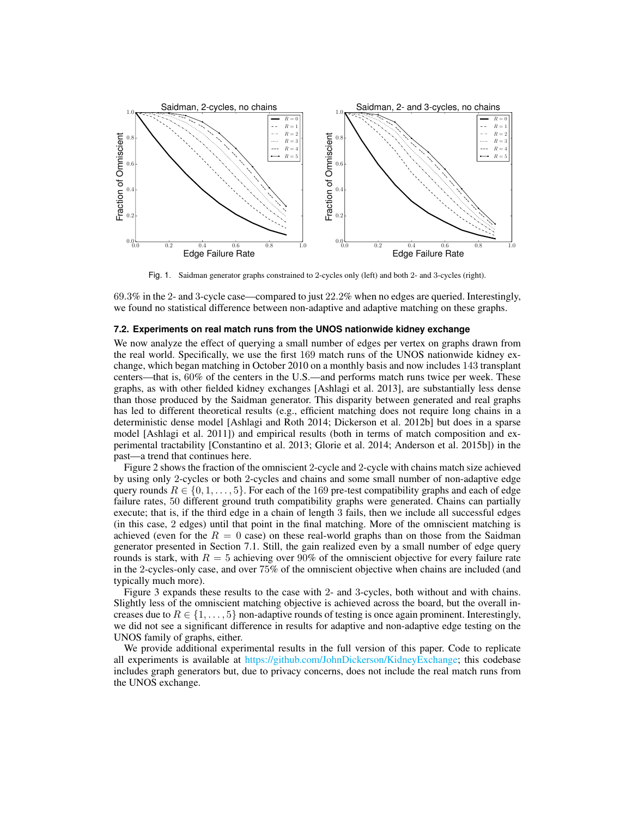

<span id="page-13-0"></span>Fig. 1. Saidman generator graphs constrained to 2-cycles only (left) and both 2- and 3-cycles (right).

69.3% in the 2- and 3-cycle case—compared to just 22.2% when no edges are queried. Interestingly, we found no statistical difference between non-adaptive and adaptive matching on these graphs.

### <span id="page-13-1"></span>**7.2. Experiments on real match runs from the UNOS nationwide kidney exchange**

We now analyze the effect of querying a small number of edges per vertex on graphs drawn from the real world. Specifically, we use the first 169 match runs of the UNOS nationwide kidney exchange, which began matching in October 2010 on a monthly basis and now includes 143 transplant centers—that is, 60% of the centers in the U.S.—and performs match runs twice per week. These graphs, as with other fielded kidney exchanges [\[Ashlagi et al.](#page-16-13) [2013\]](#page-16-13), are substantially less dense than those produced by the Saidman generator. This disparity between generated and real graphs has led to different theoretical results (e.g., efficient matching does not require long chains in a deterministic dense model [\[Ashlagi and Roth](#page-16-1) [2014;](#page-16-1) [Dickerson et al.](#page-17-15) [2012b\]](#page-17-15) but does in a sparse model [\[Ashlagi et al.](#page-16-12) [2011\]](#page-16-12)) and empirical results (both in terms of match composition and experimental tractability [\[Constantino et al.](#page-16-14) [2013;](#page-16-14) [Glorie et al.](#page-17-16) [2014;](#page-17-16) [Anderson et al.](#page-16-7) [2015b\]](#page-16-7)) in the past—a trend that continues here.

Figure [2](#page-14-0) shows the fraction of the omniscient 2-cycle and 2-cycle with chains match size achieved by using only 2-cycles or both 2-cycles and chains and some small number of non-adaptive edge query rounds  $R \in \{0, 1, \ldots, 5\}$ . For each of the 169 pre-test compatibility graphs and each of edge failure rates, 50 different ground truth compatibility graphs were generated. Chains can partially execute; that is, if the third edge in a chain of length 3 fails, then we include all successful edges (in this case, 2 edges) until that point in the final matching. More of the omniscient matching is achieved (even for the  $R = 0$  case) on these real-world graphs than on those from the Saidman generator presented in Section [7.1.](#page-12-0) Still, the gain realized even by a small number of edge query rounds is stark, with  $R = 5$  achieving over 90% of the omniscient objective for every failure rate in the 2-cycles-only case, and over 75% of the omniscient objective when chains are included (and typically much more).

Figure [3](#page-14-1) expands these results to the case with 2- and 3-cycles, both without and with chains. Slightly less of the omniscient matching objective is achieved across the board, but the overall increases due to  $R \in \{1, \ldots, 5\}$  non-adaptive rounds of testing is once again prominent. Interestingly, we did not see a significant difference in results for adaptive and non-adaptive edge testing on the UNOS family of graphs, either.

We provide additional experimental results in the full version of this paper. Code to replicate all experiments is available at [https://github.com/JohnDickerson/KidneyExchange;](https://github.com/JohnDickerson/KidneyExchange) this codebase includes graph generators but, due to privacy concerns, does not include the real match runs from the UNOS exchange.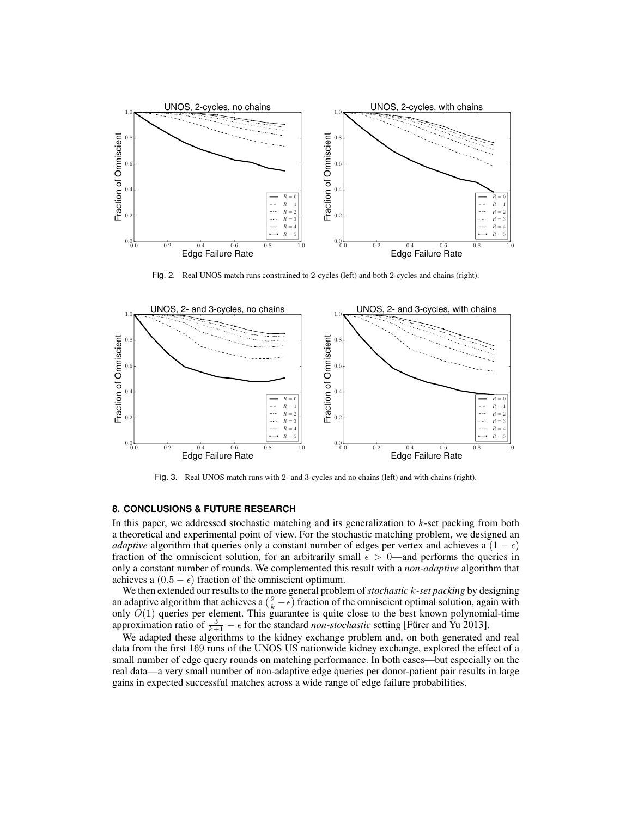

<span id="page-14-0"></span>Fig. 2. Real UNOS match runs constrained to 2-cycles (left) and both 2-cycles and chains (right).



<span id="page-14-1"></span>Fig. 3. Real UNOS match runs with 2- and 3-cycles and no chains (left) and with chains (right).

#### **8. CONCLUSIONS & FUTURE RESEARCH**

In this paper, we addressed stochastic matching and its generalization to  $k$ -set packing from both a theoretical and experimental point of view. For the stochastic matching problem, we designed an *adaptive* algorithm that queries only a constant number of edges per vertex and achieves a  $(1 - \epsilon)$ fraction of the omniscient solution, for an arbitrarily small  $\epsilon > 0$ —and performs the queries in only a constant number of rounds. We complemented this result with a *non-adaptive* algorithm that achieves a  $(0.5 - \epsilon)$  fraction of the omniscient optimum.

We then extended our results to the more general problem of*stochastic* k*-set packing* by designing an adaptive algorithm that achieves a  $(\frac{2}{k} - \epsilon)$  fraction of the omniscient optimal solution, again with only  $\tilde{O}(1)$  queries per element. This guarantee is quite close to the best known polynomial-time approximation ratio of  $\frac{3}{k+1} - \epsilon$  for the standard *non-stochastic* setting [\[Furer and Yu](#page-17-0) [2013\]](#page-17-0).

We adapted these algorithms to the kidney exchange problem and, on both generated and real data from the first 169 runs of the UNOS US nationwide kidney exchange, explored the effect of a small number of edge query rounds on matching performance. In both cases—but especially on the real data—a very small number of non-adaptive edge queries per donor-patient pair results in large gains in expected successful matches across a wide range of edge failure probabilities.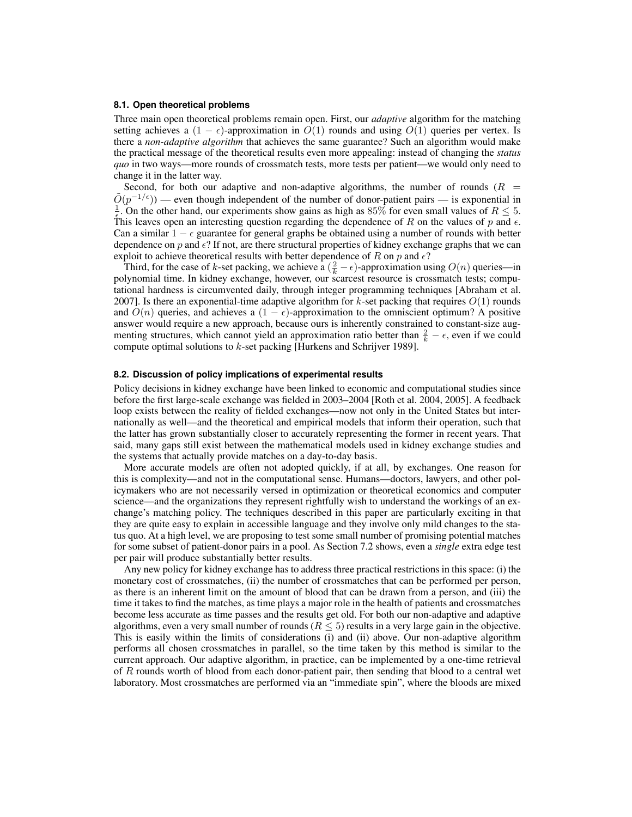#### <span id="page-15-0"></span>**8.1. Open theoretical problems**

Three main open theoretical problems remain open. First, our *adaptive* algorithm for the matching setting achieves a  $(1 - \epsilon)$ -approximation in  $O(1)$  rounds and using  $O(1)$  queries per vertex. Is there a *non-adaptive algorithm* that achieves the same guarantee? Such an algorithm would make the practical message of the theoretical results even more appealing: instead of changing the *status quo* in two ways—more rounds of crossmatch tests, more tests per patient—we would only need to change it in the latter way.

Second, for both our adaptive and non-adaptive algorithms, the number of rounds ( $R =$  $\tilde{O}(p^{-1/\epsilon})$  — even though independent of the number of donor-patient pairs — is exponential in  $\frac{1}{6}$ . On the other hand, our experiments show gains as high as 85% for even small values of  $R \le 5$ . This leaves open an interesting question regarding the dependence of R on the values of p and  $\epsilon$ . Can a similar  $1 - \epsilon$  guarantee for general graphs be obtained using a number of rounds with better dependence on p and  $\epsilon$ ? If not, are there structural properties of kidney exchange graphs that we can exploit to achieve theoretical results with better dependence of R on p and  $\epsilon$ ?

Third, for the case of k-set packing, we achieve a  $(\frac{2}{k} - \epsilon)$ -approximation using  $O(n)$  queries—in polynomial time. In kidney exchange, however, our scarcest resource is crossmatch tests; computational hardness is circumvented daily, through integer programming techniques [\[Abraham et al.](#page-16-11) [2007\]](#page-16-11). Is there an exponential-time adaptive algorithm for  $k$ -set packing that requires  $O(1)$  rounds and  $O(n)$  queries, and achieves a  $(1 - \epsilon)$ -approximation to the omniscient optimum? A positive answer would require a new approach, because ours is inherently constrained to constant-size augmenting structures, which cannot yield an approximation ratio better than  $\frac{2}{k} - \epsilon$ , even if we could compute optimal solutions to  $k$ -set packing [\[Hurkens and Schrijver](#page-17-1) [1989\]](#page-17-1).

# <span id="page-15-1"></span>**8.2. Discussion of policy implications of experimental results**

Policy decisions in kidney exchange have been linked to economic and computational studies since before the first large-scale exchange was fielded in 2003–2004 [\[Roth et al.](#page-17-17) [2004,](#page-17-17) [2005\]](#page-17-18). A feedback loop exists between the reality of fielded exchanges—now not only in the United States but internationally as well—and the theoretical and empirical models that inform their operation, such that the latter has grown substantially closer to accurately representing the former in recent years. That said, many gaps still exist between the mathematical models used in kidney exchange studies and the systems that actually provide matches on a day-to-day basis.

More accurate models are often not adopted quickly, if at all, by exchanges. One reason for this is complexity—and not in the computational sense. Humans—doctors, lawyers, and other policymakers who are not necessarily versed in optimization or theoretical economics and computer science—and the organizations they represent rightfully wish to understand the workings of an exchange's matching policy. The techniques described in this paper are particularly exciting in that they are quite easy to explain in accessible language and they involve only mild changes to the status quo. At a high level, we are proposing to test some small number of promising potential matches for some subset of patient-donor pairs in a pool. As Section [7.2](#page-13-1) shows, even a *single* extra edge test per pair will produce substantially better results.

Any new policy for kidney exchange has to address three practical restrictions in this space: (i) the monetary cost of crossmatches, (ii) the number of crossmatches that can be performed per person, as there is an inherent limit on the amount of blood that can be drawn from a person, and (iii) the time it takes to find the matches, as time plays a major role in the health of patients and crossmatches become less accurate as time passes and the results get old. For both our non-adaptive and adaptive algorithms, even a very small number of rounds ( $R \le 5$ ) results in a very large gain in the objective. This is easily within the limits of considerations (i) and (ii) above. Our non-adaptive algorithm performs all chosen crossmatches in parallel, so the time taken by this method is similar to the current approach. Our adaptive algorithm, in practice, can be implemented by a one-time retrieval of R rounds worth of blood from each donor-patient pair, then sending that blood to a central wet laboratory. Most crossmatches are performed via an "immediate spin", where the bloods are mixed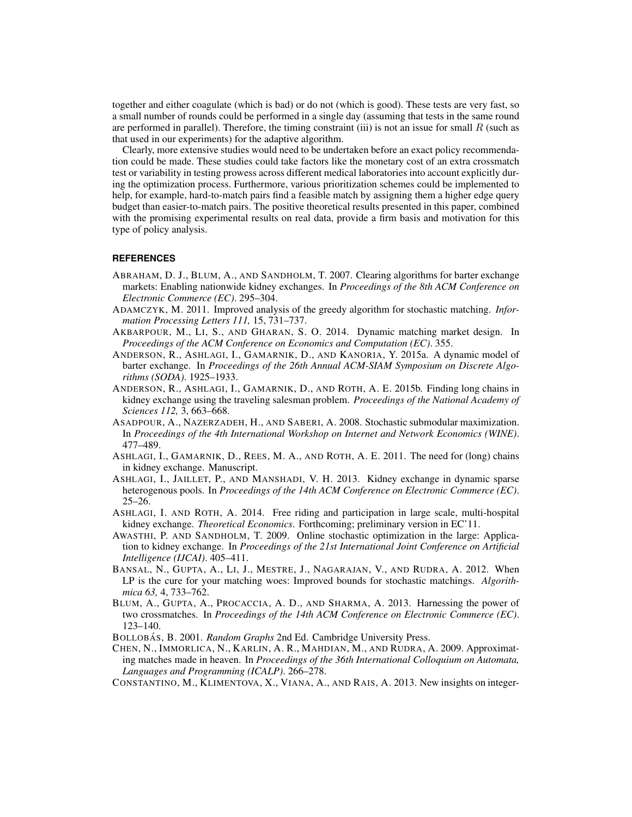together and either coagulate (which is bad) or do not (which is good). These tests are very fast, so a small number of rounds could be performed in a single day (assuming that tests in the same round are performed in parallel). Therefore, the timing constraint (iii) is not an issue for small  $R$  (such as that used in our experiments) for the adaptive algorithm.

Clearly, more extensive studies would need to be undertaken before an exact policy recommendation could be made. These studies could take factors like the monetary cost of an extra crossmatch test or variability in testing prowess across different medical laboratories into account explicitly during the optimization process. Furthermore, various prioritization schemes could be implemented to help, for example, hard-to-match pairs find a feasible match by assigning them a higher edge query budget than easier-to-match pairs. The positive theoretical results presented in this paper, combined with the promising experimental results on real data, provide a firm basis and motivation for this type of policy analysis.

### **REFERENCES**

- <span id="page-16-11"></span>ABRAHAM, D. J., BLUM, A., AND SANDHOLM, T. 2007. Clearing algorithms for barter exchange markets: Enabling nationwide kidney exchanges. In *Proceedings of the 8th ACM Conference on Electronic Commerce (EC)*. 295–304.
- <span id="page-16-3"></span>ADAMCZYK, M. 2011. Improved analysis of the greedy algorithm for stochastic matching. *Information Processing Letters 111,* 15, 731–737.
- <span id="page-16-8"></span>AKBARPOUR, M., LI, S., AND GHARAN, S. O. 2014. Dynamic matching market design. In *Proceedings of the ACM Conference on Economics and Computation (EC)*. 355.
- <span id="page-16-9"></span>ANDERSON, R., ASHLAGI, I., GAMARNIK, D., AND KANORIA, Y. 2015a. A dynamic model of barter exchange. In *Proceedings of the 26th Annual ACM-SIAM Symposium on Discrete Algorithms (SODA)*. 1925–1933.
- <span id="page-16-7"></span>ANDERSON, R., ASHLAGI, I., GAMARNIK, D., AND ROTH, A. E. 2015b. Finding long chains in kidney exchange using the traveling salesman problem. *Proceedings of the National Academy of Sciences 112,* 3, 663–668.
- <span id="page-16-6"></span>ASADPOUR, A., NAZERZADEH, H., AND SABERI, A. 2008. Stochastic submodular maximization. In *Proceedings of the 4th International Workshop on Internet and Network Economics (WINE)*. 477–489.
- <span id="page-16-12"></span>ASHLAGI, I., GAMARNIK, D., REES, M. A., AND ROTH, A. E. 2011. The need for (long) chains in kidney exchange. Manuscript.
- <span id="page-16-13"></span>ASHLAGI, I., JAILLET, P., AND MANSHADI, V. H. 2013. Kidney exchange in dynamic sparse heterogenous pools. In *Proceedings of the 14th ACM Conference on Electronic Commerce (EC)*. 25–26.
- <span id="page-16-1"></span>ASHLAGI, I. AND ROTH, A. 2014. Free riding and participation in large scale, multi-hospital kidney exchange. *Theoretical Economics*. Forthcoming; preliminary version in EC'11.
- <span id="page-16-10"></span>AWASTHI, P. AND SANDHOLM, T. 2009. Online stochastic optimization in the large: Application to kidney exchange. In *Proceedings of the 21st International Joint Conference on Artificial Intelligence (IJCAI)*. 405–411.
- <span id="page-16-4"></span>BANSAL, N., GUPTA, A., LI, J., MESTRE, J., NAGARAJAN, V., AND RUDRA, A. 2012. When LP is the cure for your matching woes: Improved bounds for stochastic matchings. *Algorithmica 63,* 4, 733–762.
- <span id="page-16-5"></span>BLUM, A., GUPTA, A., PROCACCIA, A. D., AND SHARMA, A. 2013. Harnessing the power of two crossmatches. In *Proceedings of the 14th ACM Conference on Electronic Commerce (EC)*. 123–140.
- <span id="page-16-0"></span>BOLLOBÁS, B. 2001. *Random Graphs* 2nd Ed. Cambridge University Press.
- <span id="page-16-2"></span>CHEN, N., IMMORLICA, N., KARLIN, A. R., MAHDIAN, M., AND RUDRA, A. 2009. Approximating matches made in heaven. In *Proceedings of the 36th International Colloquium on Automata, Languages and Programming (ICALP)*. 266–278.
- <span id="page-16-14"></span>CONSTANTINO, M., KLIMENTOVA, X., VIANA, A., AND RAIS, A. 2013. New insights on integer-